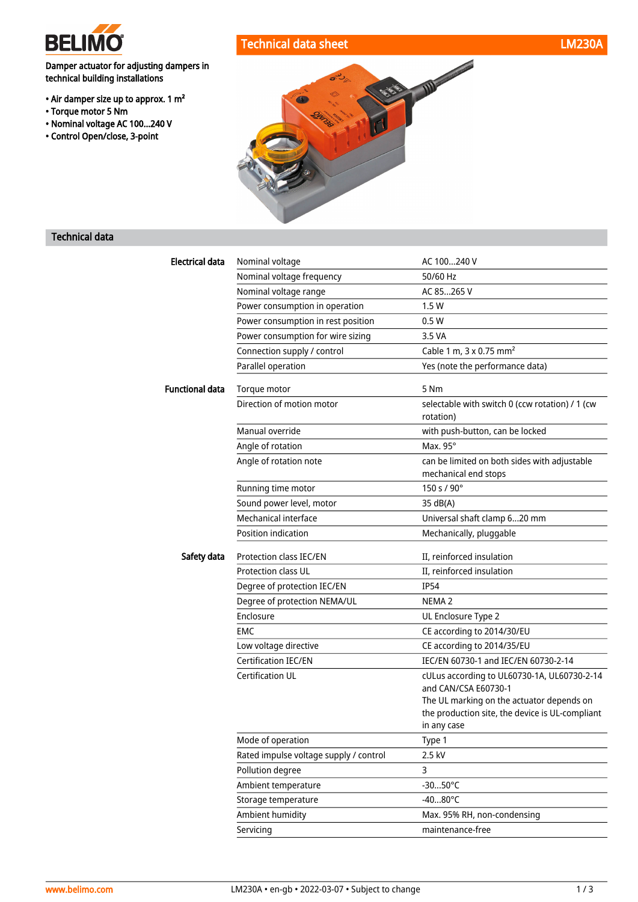

• Torque motor 5 Nm

technical building installations

• Air damper size up to approx. 1 m<sup>2</sup>

• Nominal voltage AC 100...240 V • Control Open/close, 3-point



## Technical data

| <b>Electrical data</b> | Nominal voltage                         | AC 100240 V                                                                                                                                                         |
|------------------------|-----------------------------------------|---------------------------------------------------------------------------------------------------------------------------------------------------------------------|
|                        | Nominal voltage frequency               | 50/60 Hz                                                                                                                                                            |
|                        | Nominal voltage range                   | AC 85265 V                                                                                                                                                          |
|                        | Power consumption in operation          | 1.5 W                                                                                                                                                               |
|                        | Power consumption in rest position      | 0.5W                                                                                                                                                                |
|                        | Power consumption for wire sizing       | 3.5 VA                                                                                                                                                              |
|                        | Connection supply / control             | Cable 1 m, $3 \times 0.75$ mm <sup>2</sup>                                                                                                                          |
|                        | Parallel operation                      | Yes (note the performance data)                                                                                                                                     |
| <b>Functional data</b> | Torque motor                            | 5 Nm                                                                                                                                                                |
|                        | Direction of motion motor               | selectable with switch 0 (ccw rotation) / 1 (cw<br>rotation)                                                                                                        |
|                        | Manual override                         | with push-button, can be locked                                                                                                                                     |
|                        | Angle of rotation                       | Max. 95°                                                                                                                                                            |
|                        | Angle of rotation note                  | can be limited on both sides with adjustable<br>mechanical end stops                                                                                                |
|                        | Running time motor                      | 150 s / 90°                                                                                                                                                         |
|                        | Sound power level, motor                | 35 dB(A)                                                                                                                                                            |
|                        | Mechanical interface                    | Universal shaft clamp 620 mm                                                                                                                                        |
|                        | Position indication                     | Mechanically, pluggable                                                                                                                                             |
| Safety data            | Protection class IEC/EN                 | II, reinforced insulation                                                                                                                                           |
|                        | <b>Protection class UL</b>              | II, reinforced insulation                                                                                                                                           |
|                        | Degree of protection IEC/EN             | <b>IP54</b>                                                                                                                                                         |
|                        | Degree of protection NEMA/UL            | NEMA <sub>2</sub>                                                                                                                                                   |
|                        | Enclosure                               | UL Enclosure Type 2                                                                                                                                                 |
|                        | <b>EMC</b>                              | CE according to 2014/30/EU                                                                                                                                          |
|                        | Low voltage directive                   | CE according to 2014/35/EU                                                                                                                                          |
|                        | Certification IEC/EN                    | IEC/EN 60730-1 and IEC/EN 60730-2-14                                                                                                                                |
|                        | <b>Certification UL</b>                 | cULus according to UL60730-1A, UL60730-2-14<br>and CAN/CSA E60730-1<br>The UL marking on the actuator depends on<br>the production site, the device is UL-compliant |
|                        |                                         | in any case                                                                                                                                                         |
|                        | Mode of operation                       | Type 1                                                                                                                                                              |
|                        | Rated impulse voltage supply / control  | 2.5 kV                                                                                                                                                              |
|                        | Pollution degree<br>Ambient temperature | 3<br>$-3050^{\circ}$ C                                                                                                                                              |
|                        |                                         |                                                                                                                                                                     |
|                        | Storage temperature                     | $-4080^{\circ}$ C<br>Max. 95% RH, non-condensing                                                                                                                    |
|                        | Ambient humidity<br>Servicing           |                                                                                                                                                                     |
|                        |                                         | maintenance-free                                                                                                                                                    |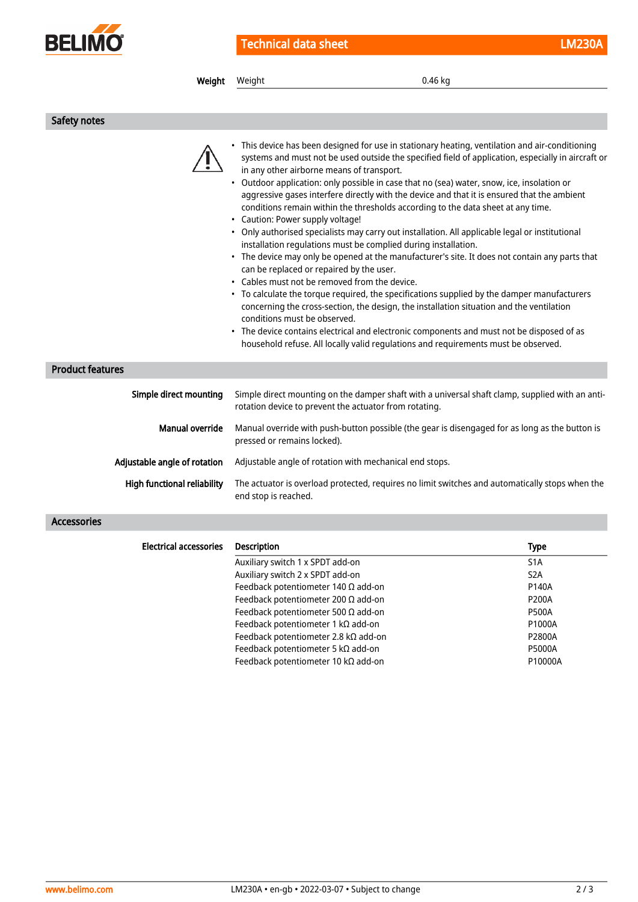

Technical data sheet LM230A

| Weight                        | Weight                                                                                                                        | 0.46 kg                                                                                                                                                                                                                                                                                                                                                                                                                                                                                                                                                                                                                                                                                                                                                                                                                                                                                                                                                                                                                                                                                                                                                                                                                                                                           |  |
|-------------------------------|-------------------------------------------------------------------------------------------------------------------------------|-----------------------------------------------------------------------------------------------------------------------------------------------------------------------------------------------------------------------------------------------------------------------------------------------------------------------------------------------------------------------------------------------------------------------------------------------------------------------------------------------------------------------------------------------------------------------------------------------------------------------------------------------------------------------------------------------------------------------------------------------------------------------------------------------------------------------------------------------------------------------------------------------------------------------------------------------------------------------------------------------------------------------------------------------------------------------------------------------------------------------------------------------------------------------------------------------------------------------------------------------------------------------------------|--|
|                               |                                                                                                                               |                                                                                                                                                                                                                                                                                                                                                                                                                                                                                                                                                                                                                                                                                                                                                                                                                                                                                                                                                                                                                                                                                                                                                                                                                                                                                   |  |
| Safety notes                  |                                                                                                                               |                                                                                                                                                                                                                                                                                                                                                                                                                                                                                                                                                                                                                                                                                                                                                                                                                                                                                                                                                                                                                                                                                                                                                                                                                                                                                   |  |
|                               | • Caution: Power supply voltage!<br>conditions must be observed.                                                              | • This device has been designed for use in stationary heating, ventilation and air-conditioning<br>systems and must not be used outside the specified field of application, especially in aircraft or<br>in any other airborne means of transport.<br>Outdoor application: only possible in case that no (sea) water, snow, ice, insolation or<br>aggressive gases interfere directly with the device and that it is ensured that the ambient<br>conditions remain within the thresholds according to the data sheet at any time.<br>• Only authorised specialists may carry out installation. All applicable legal or institutional<br>installation regulations must be complied during installation.<br>• The device may only be opened at the manufacturer's site. It does not contain any parts that<br>can be replaced or repaired by the user.<br>• Cables must not be removed from the device.<br>• To calculate the torque required, the specifications supplied by the damper manufacturers<br>concerning the cross-section, the design, the installation situation and the ventilation<br>The device contains electrical and electronic components and must not be disposed of as<br>household refuse. All locally valid regulations and requirements must be observed. |  |
| <b>Product features</b>       |                                                                                                                               |                                                                                                                                                                                                                                                                                                                                                                                                                                                                                                                                                                                                                                                                                                                                                                                                                                                                                                                                                                                                                                                                                                                                                                                                                                                                                   |  |
| Simple direct mounting        |                                                                                                                               | Simple direct mounting on the damper shaft with a universal shaft clamp, supplied with an anti-<br>rotation device to prevent the actuator from rotating.                                                                                                                                                                                                                                                                                                                                                                                                                                                                                                                                                                                                                                                                                                                                                                                                                                                                                                                                                                                                                                                                                                                         |  |
| <b>Manual override</b>        | Manual override with push-button possible (the gear is disengaged for as long as the button is<br>pressed or remains locked). |                                                                                                                                                                                                                                                                                                                                                                                                                                                                                                                                                                                                                                                                                                                                                                                                                                                                                                                                                                                                                                                                                                                                                                                                                                                                                   |  |
| Adjustable angle of rotation  | Adjustable angle of rotation with mechanical end stops.                                                                       |                                                                                                                                                                                                                                                                                                                                                                                                                                                                                                                                                                                                                                                                                                                                                                                                                                                                                                                                                                                                                                                                                                                                                                                                                                                                                   |  |
| High functional reliability   | The actuator is overload protected, requires no limit switches and automatically stops when the<br>end stop is reached.       |                                                                                                                                                                                                                                                                                                                                                                                                                                                                                                                                                                                                                                                                                                                                                                                                                                                                                                                                                                                                                                                                                                                                                                                                                                                                                   |  |
| <b>Accessories</b>            |                                                                                                                               |                                                                                                                                                                                                                                                                                                                                                                                                                                                                                                                                                                                                                                                                                                                                                                                                                                                                                                                                                                                                                                                                                                                                                                                                                                                                                   |  |
| <b>Electrical accessories</b> | Description                                                                                                                   | <b>Type</b>                                                                                                                                                                                                                                                                                                                                                                                                                                                                                                                                                                                                                                                                                                                                                                                                                                                                                                                                                                                                                                                                                                                                                                                                                                                                       |  |
|                               | Auxiliary switch 1 x SPDT add-on<br>Auxiliary switch 2 x SPDT add-on                                                          | S <sub>1</sub> A<br>S <sub>2</sub> A<br>Feedback potentiometer 140 $\Omega$ add-on<br>P140A<br>Feedback potentiometer 200 $\Omega$ add-on<br>P200A<br><b>P500A</b><br>Feedback potentiometer 500 $\Omega$ add-on<br>P1000A<br>Feedback potentiometer 1 k $\Omega$ add-on                                                                                                                                                                                                                                                                                                                                                                                                                                                                                                                                                                                                                                                                                                                                                                                                                                                                                                                                                                                                          |  |

Feedback potentiometer 2.8 kΩ add-on P2800A Feedback potentiometer 5 kΩ add-on P5000A Feedback potentiometer 10 kΩ add-on P10000A